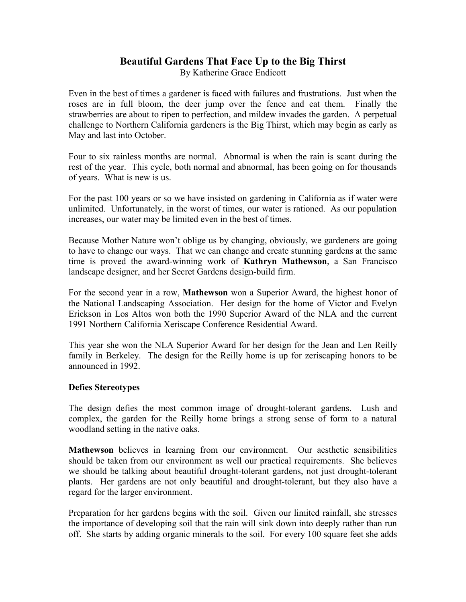## **Beautiful Gardens That Face Up to the Big Thirst** By Katherine Grace Endicott

Even in the best of times a gardener is faced with failures and frustrations. Just when the roses are in full bloom, the deer jump over the fence and eat them. Finally the strawberries are about to ripen to perfection, and mildew invades the garden. A perpetual challenge to Northern California gardeners is the Big Thirst, which may begin as early as May and last into October.

Four to six rainless months are normal. Abnormal is when the rain is scant during the rest of the year. This cycle, both normal and abnormal, has been going on for thousands of years. What is new is us.

For the past 100 years or so we have insisted on gardening in California as if water were unlimited. Unfortunately, in the worst of times, our water is rationed. As our population increases, our water may be limited even in the best of times.

Because Mother Nature won't oblige us by changing, obviously, we gardeners are going to have to change our ways. That we can change and create stunning gardens at the same time is proved the award-winning work of **Kathryn Mathewson**, a San Francisco landscape designer, and her Secret Gardens design-build firm.

For the second year in a row, **Mathewson** won a Superior Award, the highest honor of the National Landscaping Association. Her design for the home of Victor and Evelyn Erickson in Los Altos won both the 1990 Superior Award of the NLA and the current 1991 Northern California Xeriscape Conference Residential Award.

This year she won the NLA Superior Award for her design for the Jean and Len Reilly family in Berkeley. The design for the Reilly home is up for zeriscaping honors to be announced in 1992.

## **Defies Stereotypes**

The design defies the most common image of drought-tolerant gardens. Lush and complex, the garden for the Reilly home brings a strong sense of form to a natural woodland setting in the native oaks.

**Mathewson** believes in learning from our environment. Our aesthetic sensibilities should be taken from our environment as well our practical requirements. She believes we should be talking about beautiful drought-tolerant gardens, not just drought-tolerant plants. Her gardens are not only beautiful and drought-tolerant, but they also have a regard for the larger environment.

Preparation for her gardens begins with the soil. Given our limited rainfall, she stresses the importance of developing soil that the rain will sink down into deeply rather than run off. She starts by adding organic minerals to the soil. For every 100 square feet she adds